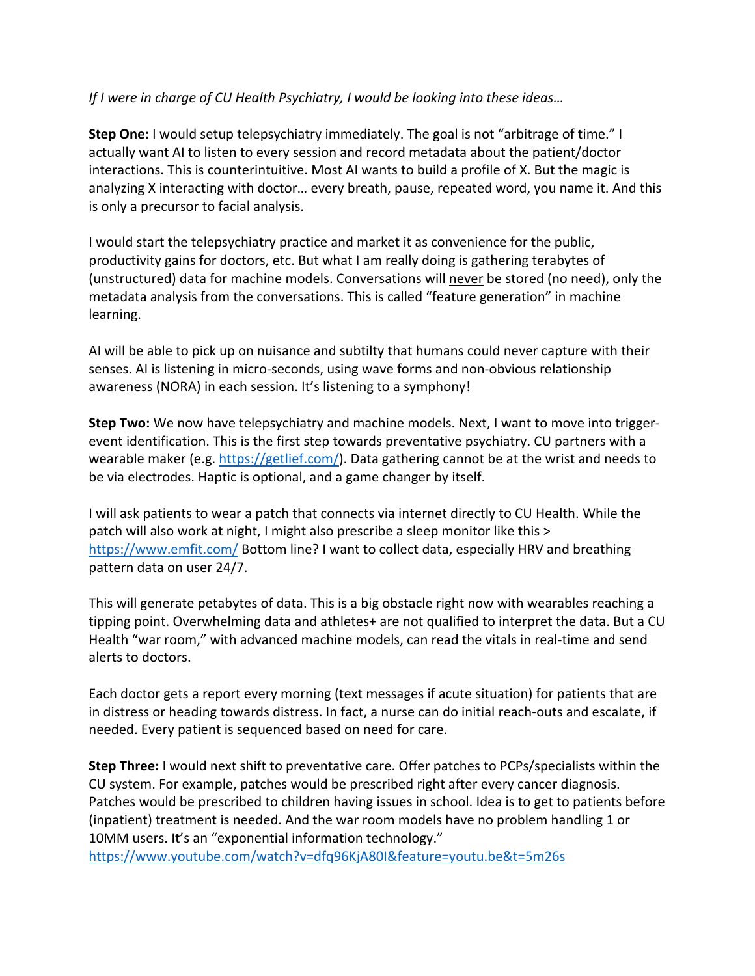## *If I were in charge of CU Health Psychiatry, I would be looking into these ideas…*

**Step One:** I would setup telepsychiatry immediately. The goal is not "arbitrage of time." I actually want AI to listen to every session and record metadata about the patient/doctor interactions. This is counterintuitive. Most AI wants to build a profile of X. But the magic is analyzing X interacting with doctor… every breath, pause, repeated word, you name it. And this is only a precursor to facial analysis.

I would start the telepsychiatry practice and market it as convenience for the public, productivity gains for doctors, etc. But what I am really doing is gathering terabytes of (unstructured) data for machine models. Conversations will never be stored (no need), only the metadata analysis from the conversations. This is called "feature generation" in machine learning.

AI will be able to pick up on nuisance and subtilty that humans could never capture with their senses. AI is listening in micro-seconds, using wave forms and non-obvious relationship awareness (NORA) in each session. It's listening to a symphony!

**Step Two:** We now have telepsychiatry and machine models. Next, I want to move into trigger‐ event identification. This is the first step towards preventative psychiatry. CU partners with a wearable maker (e.g. https://getlief.com/). Data gathering cannot be at the wrist and needs to be via electrodes. Haptic is optional, and a game changer by itself.

I will ask patients to wear a patch that connects via internet directly to CU Health. While the patch will also work at night, I might also prescribe a sleep monitor like this > https://www.emfit.com/ Bottom line? I want to collect data, especially HRV and breathing pattern data on user 24/7.

This will generate petabytes of data. This is a big obstacle right now with wearables reaching a tipping point. Overwhelming data and athletes+ are not qualified to interpret the data. But a CU Health "war room," with advanced machine models, can read the vitals in real-time and send alerts to doctors.

Each doctor gets a report every morning (text messages if acute situation) for patients that are in distress or heading towards distress. In fact, a nurse can do initial reach-outs and escalate, if needed. Every patient is sequenced based on need for care.

**Step Three:** I would next shift to preventative care. Offer patches to PCPs/specialists within the CU system. For example, patches would be prescribed right after every cancer diagnosis. Patches would be prescribed to children having issues in school. Idea is to get to patients before (inpatient) treatment is needed. And the war room models have no problem handling 1 or 10MM users. It's an "exponential information technology." https://www.youtube.com/watch?v=dfq96KjA80I&feature=youtu.be&t=5m26s